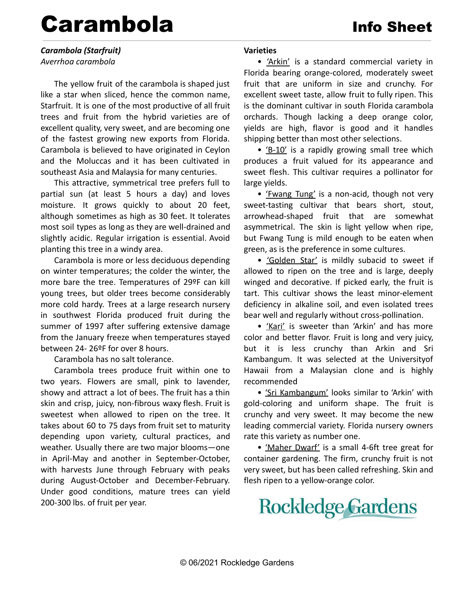# Carambola Info Sheet

*Carambola (Starfruit) Averrhoa carambola*

The yellow fruit of the carambola is shaped just like a star when sliced, hence the common name, Starfruit. It is one of the most productive of all fruit trees and fruit from the hybrid varieties are of excellent quality, very sweet, and are becoming one of the fastest growing new exports from Florida. Carambola is believed to have originated in Ceylon and the Moluccas and it has been cultivated in southeast Asia and Malaysia for many centuries.

This attractive, symmetrical tree prefers full to partial sun (at least 5 hours a day) and loves moisture. It grows quickly to about 20 feet, although sometimes as high as 30 feet. It tolerates most soil types as long as they are well-drained and slightly acidic. Regular irrigation is essential. Avoid planting this tree in a windy area.

Carambola is more or less deciduous depending on winter temperatures; the colder the winter, the more bare the tree. Temperatures of 29ºF can kill young trees, but older trees become considerably more cold hardy. Trees at a large research nursery in southwest Florida produced fruit during the summer of 1997 after suffering extensive damage from the January freeze when temperatures stayed between 24- 26ºF for over 8 hours.

Carambola has no salt tolerance.

Carambola trees produce fruit within one to two years. Flowers are small, pink to lavender, showy and attract a lot of bees. The fruit has a thin skin and crisp, juicy, non-fibrous waxy flesh. Fruit is sweetest when allowed to ripen on the tree. It takes about 60 to 75 days from fruit set to maturity depending upon variety, cultural practices, and weather. Usually there are two major blooms—one in April-May and another in September-October, with harvests June through February with peaks during August-October and December-February. Under good conditions, mature trees can yield 200-300 lbs. of fruit per year.

# **Varieties**

• 'Arkin' is a standard commercial variety in Florida bearing orange-colored, moderately sweet fruit that are uniform in size and crunchy. For excellent sweet taste, allow fruit to fully ripen. This is the dominant cultivar in south Florida carambola orchards. Though lacking a deep orange color, yields are high, flavor is good and it handles shipping better than most other selections.

• 'B-10' is a rapidly growing small tree which produces a fruit valued for its appearance and sweet flesh. This cultivar requires a pollinator for large yields.

• 'Fwang Tung' is a non-acid, though not very sweet-tasting cultivar that bears short, stout, arrowhead-shaped fruit that are somewhat asymmetrical. The skin is light yellow when ripe, but Fwang Tung is mild enough to be eaten when green, as is the preference in some cultures.

• 'Golden Star' is mildly subacid to sweet if allowed to ripen on the tree and is large, deeply winged and decorative. If picked early, the fruit is tart. This cultivar shows the least minor-element deficiency in alkaline soil, and even isolated trees bear well and regularly without cross-pollination.

• 'Kari' is sweeter than 'Arkin' and has more color and better flavor. Fruit is long and very juicy, but it is less crunchy than Arkin and Sri Kambangum. It was selected at the Universityof Hawaii from a Malaysian clone and is highly recommended

• 'Sri Kambangum' looks similar to 'Arkin' with gold-coloring and uniform shape. The fruit is crunchy and very sweet. It may become the new leading commercial variety. Florida nursery owners rate this variety as number one.

• 'Maher Dwarf' is a small 4-6ft tree great for container gardening. The firm, crunchy fruit is not very sweet, but has been called refreshing. Skin and flesh ripen to a yellow-orange color.

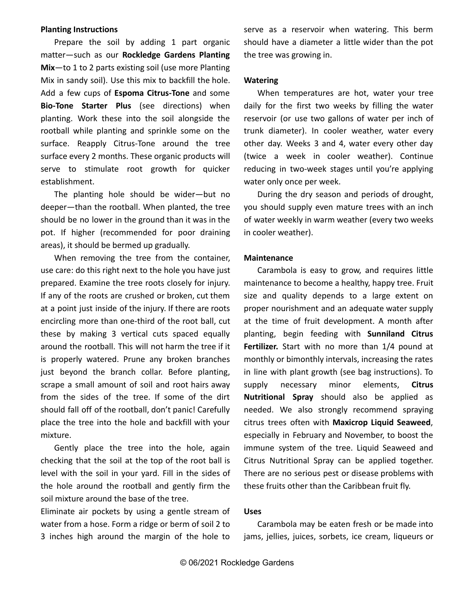#### **Planting Instructions**

Prepare the soil by adding 1 part organic matter—such as our **Rockledge Gardens Planting Mix**—to 1 to 2 parts existing soil (use more Planting Mix in sandy soil). Use this mix to backfill the hole. Add a few cups of **Espoma Citrus-Tone** and some **Bio-Tone Starter Plus** (see directions) when planting. Work these into the soil alongside the rootball while planting and sprinkle some on the surface. Reapply Citrus-Tone around the tree surface every 2 months. These organic products will serve to stimulate root growth for quicker establishment.

The planting hole should be wider—but no deeper—than the rootball. When planted, the tree should be no lower in the ground than it was in the pot. If higher (recommended for poor draining areas), it should be bermed up gradually.

When removing the tree from the container, use care: do this right next to the hole you have just prepared. Examine the tree roots closely for injury. If any of the roots are crushed or broken, cut them at a point just inside of the injury. If there are roots encircling more than one-third of the root ball, cut these by making 3 vertical cuts spaced equally around the rootball. This will not harm the tree if it is properly watered. Prune any broken branches just beyond the branch collar. Before planting, scrape a small amount of soil and root hairs away from the sides of the tree. If some of the dirt should fall off of the rootball, don't panic! Carefully place the tree into the hole and backfill with your mixture.

Gently place the tree into the hole, again checking that the soil at the top of the root ball is level with the soil in your yard. Fill in the sides of the hole around the rootball and gently firm the soil mixture around the base of the tree.

Eliminate air pockets by using a gentle stream of water from a hose. Form a ridge or berm of soil 2 to 3 inches high around the margin of the hole to

serve as a reservoir when watering. This berm should have a diameter a little wider than the pot the tree was growing in.

#### **Watering**

When temperatures are hot, water your tree daily for the first two weeks by filling the water reservoir (or use two gallons of water per inch of trunk diameter). In cooler weather, water every other day. Weeks 3 and 4, water every other day (twice a week in cooler weather). Continue reducing in two-week stages until you're applying water only once per week.

During the dry season and periods of drought, you should supply even mature trees with an inch of water weekly in warm weather (every two weeks in cooler weather).

### **Maintenance**

Carambola is easy to grow, and requires little maintenance to become a healthy, happy tree. Fruit size and quality depends to a large extent on proper nourishment and an adequate water supply at the time of fruit development. A month after planting, begin feeding with **Sunniland Citrus Fertilizer.** Start with no more than 1/4 pound at monthly or bimonthly intervals, increasing the rates in line with plant growth (see bag instructions). To supply necessary minor elements, **Citrus Nutritional Spray** should also be applied as needed. We also strongly recommend spraying citrus trees often with **Maxicrop Liquid Seaweed**, especially in February and November, to boost the immune system of the tree. Liquid Seaweed and Citrus Nutritional Spray can be applied together. There are no serious pest or disease problems with these fruits other than the Caribbean fruit fly.

## **Uses**

Carambola may be eaten fresh or be made into jams, jellies, juices, sorbets, ice cream, liqueurs or